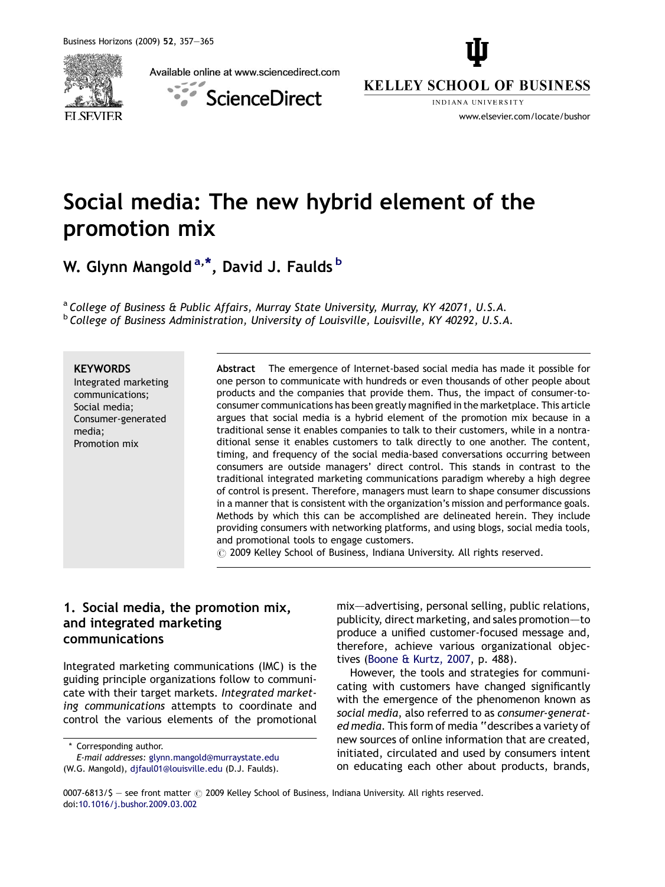Available online at www.sciencedirect.com



ScienceDirect



**KELLEY SCHOOL OF BUSINESS** 

INDIANA UNIVERSITY www.elsevier.com/locate/bushor

# Social media: The new hybrid element of the promotion mix

W. Glynn Mangold<sup>a,\*</sup>, David J. Faulds <sup>b</sup>

<sup>a</sup> College of Business & Public Affairs, Murray State University, Murray, KY 42071, U.S.A. <sup>b</sup> College of Business Administration, University of Louisville, Louisville, KY 40292, U.S.A.

#### **KEYWORDS**

Integrated marketing communications; Social media; Consumer-generated media; Promotion mix

Abstract The emergence of Internet-based social media has made it possible for one person to communicate with hundreds or even thousands of other people about products and the companies that provide them. Thus, the impact of consumer-toconsumer communications has been greatly magnified in the marketplace. This article argues that social media is a hybrid element of the promotion mix because in a traditional sense it enables companies to talk to their customers, while in a nontraditional sense it enables customers to talk directly to one another. The content, timing, and frequency of the social media-based conversations occurring between consumers are outside managers' direct control. This stands in contrast to the traditional integrated marketing communications paradigm whereby a high degree of control is present. Therefore, managers must learn to shape consumer discussions in a manner that is consistent with the organization's mission and performance goals. Methods by which this can be accomplished are delineated herein. They include providing consumers with networking platforms, and using blogs, social media tools, and promotional tools to engage customers.

 $\circled{c}$  2009 Kelley School of Business, Indiana University. All rights reserved.

#### 1. Social media, the promotion mix, and integrated marketing communications

Integrated marketing communications (IMC) is the guiding principle organizations follow to communicate with their target markets. Integrated marketing communications attempts to coordinate and control the various elements of the promotional mix–—advertising, personal selling, public relations, publicity, direct marketing, and sales promotion–—to produce a unified customer-focused message and, therefore, achieve various organizational objectives ([Boone & Kurtz, 2007](#page--1-0), p. 488).

However, the tools and strategies for communicating with customers have changed significantly with the emergence of the phenomenon known as social media, also referred to as consumer-generated media. This form of media ''describes a variety of new sources of online information that are created, initiated, circulated and used by consumers intent on educating each other about products, brands,

<sup>\*</sup> Corresponding author.

E-mail addresses: [glynn.mangold@murraystate.edu](mailto:glynn.mangold@murraystate.edu)

<sup>(</sup>W.G. Mangold), [djfaul01@louisville.edu](mailto:djfaul01@louisville.edu) (D.J. Faulds).

<sup>0007-6813/\$ -</sup> see front matter  $\odot$  2009 Kelley School of Business, Indiana University. All rights reserved. doi[:10.1016/j.bushor.2009.03.002](http://dx.doi.org/10.1016/j.bushor.2009.03.002)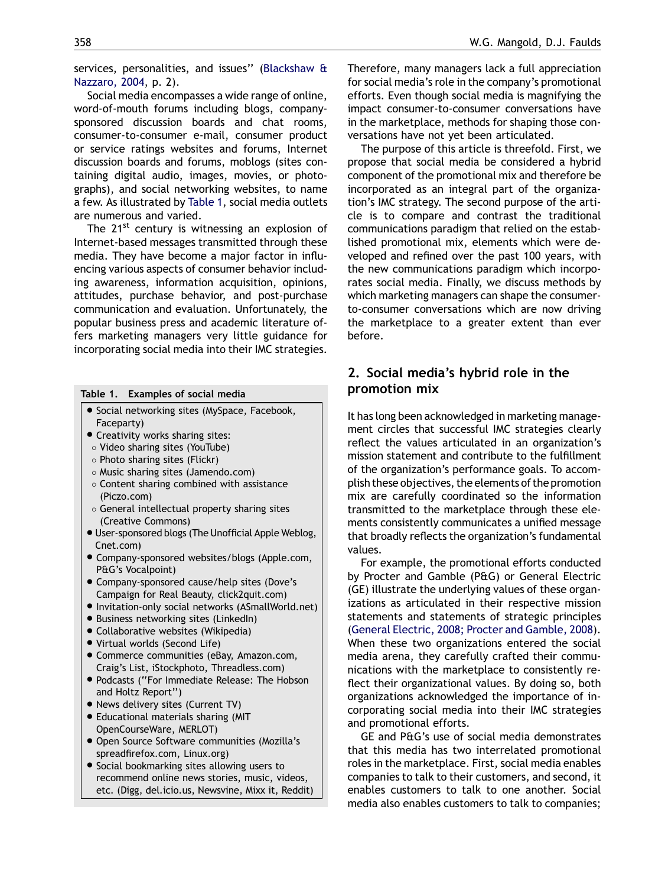services, personalities, and issues'' [\(Blackshaw &](#page--1-0) [Nazzaro, 2004](#page--1-0), p. 2).

Social media encompasses a wide range of online, word-of-mouth forums including blogs, companysponsored discussion boards and chat rooms, consumer-to-consumer e-mail, consumer product or service ratings websites and forums, Internet discussion boards and forums, moblogs (sites containing digital audio, images, movies, or photographs), and social networking websites, to name a few. As illustrated by Table 1, social media outlets are numerous and varied.

The 21<sup>st</sup> century is witnessing an explosion of Internet-based messages transmitted through these media. They have become a major factor in influencing various aspects of consumer behavior including awareness, information acquisition, opinions, attitudes, purchase behavior, and post-purchase communication and evaluation. Unfortunately, the popular business press and academic literature offers marketing managers very little guidance for incorporating social media into their IMC strategies.

|  |  | Table 1. Examples of social media |
|--|--|-----------------------------------|
|--|--|-----------------------------------|

- Social networking sites (MySpace, Facebook, Faceparty)
- **Creativity works sharing sites:**
- Video sharing sites (YouTube)
- Photo sharing sites (Flickr)
- Music sharing sites (Jamendo.com)
- $\circ$  Content sharing combined with assistance (Piczo.com)
- General intellectual property sharing sites (Creative Commons)
- · User-sponsored blogs (The Unofficial Apple Weblog, Cnet.com)
- Company-sponsored websites/blogs (Apple.com, P&G's Vocalpoint)
- Company-sponsored cause/help sites (Dove's Campaign for Real Beauty, click2quit.com)
- Invitation-only social networks (ASmallWorld.net)
- Business networking sites (LinkedIn)
- · Collaborative websites (Wikipedia)
- · Virtual worlds (Second Life)
- Commerce communities (eBay, Amazon.com, Craig's List, iStockphoto, Threadless.com)
- Podcasts (''For Immediate Release: The Hobson and Holtz Report'')
- · News delivery sites (Current TV)
- · Educational materials sharing (MIT OpenCourseWare, MERLOT)
- Open Source Software communities (Mozilla's spreadfirefox.com, Linux.org)
- Social bookmarking sites allowing users to recommend online news stories, music, videos, etc. (Digg, del.icio.us, Newsvine, Mixx it, Reddit)

Therefore, many managers lack a full appreciation for social media's role in the company's promotional efforts. Even though social media is magnifying the impact consumer-to-consumer conversations have in the marketplace, methods for shaping those conversations have not yet been articulated.

The purpose of this article is threefold. First, we propose that social media be considered a hybrid component of the promotional mix and therefore be incorporated as an integral part of the organization's IMC strategy. The second purpose of the article is to compare and contrast the traditional communications paradigm that relied on the established promotional mix, elements which were developed and refined over the past 100 years, with the new communications paradigm which incorporates social media. Finally, we discuss methods by which marketing managers can shape the consumerto-consumer conversations which are now driving the marketplace to a greater extent than ever before.

### 2. Social media's hybrid role in the promotion mix

It has long been acknowledged in marketing management circles that successful IMC strategies clearly reflect the values articulated in an organization's mission statement and contribute to the fulfillment of the organization's performance goals. To accomplish these objectives, the elements of the promotion mix are carefully coordinated so the information transmitted to the marketplace through these elements consistently communicates a unified message that broadly reflects the organization's fundamental values.

For example, the promotional efforts conducted by Procter and Gamble (P&G) or General Electric (GE) illustrate the underlying values of these organizations as articulated in their respective mission statements and statements of strategic principles [\(General Electric, 2008; Procter and Gamble, 2008](#page--1-0)). When these two organizations entered the social media arena, they carefully crafted their communications with the marketplace to consistently reflect their organizational values. By doing so, both organizations acknowledged the importance of incorporating social media into their IMC strategies and promotional efforts.

GE and P&G's use of social media demonstrates that this media has two interrelated promotional roles in the marketplace. First, social media enables companies to talk to their customers, and second, it enables customers to talk to one another. Social media also enables customers to talk to companies;